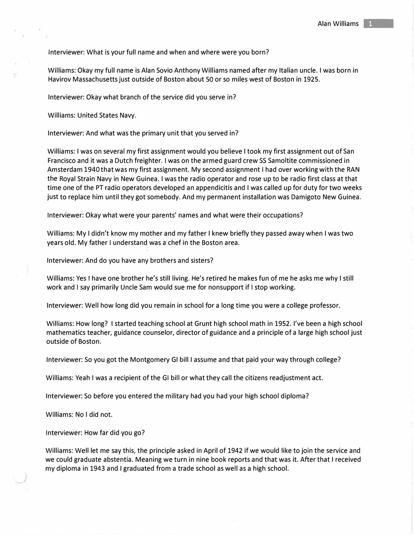Interviewer: What is your full name and when and where were you born?

Williams: Okay my full name is Alan Sovio Anthony Williams named after my Italian uncle. I was born in Havirov Massachusetts just outside of Boston about SO or so miles west of Boston in 1925.

Interviewer: Okay what branch of the service did you serve in?

Williams: United States Navy.

Interviewer: And what was the primary unit that you served in?

Williams: I was on several my first assignment would you believe I took my first assignment out of San Francisco and it was a Dutch freighter. I was on the armed guard crew SS Samoltite commissioned in Amsterdam 1940 that was my first assignment. My second assignment I had over working with the RAN the Royal Strain Navy in New Guinea. I was the radio operator and rose up to be radio first class at that time one of the PT radio operators developed an appendicitis and I was called up for duty for two weeks just to replace him until they got somebody. And my permanent installation was Damigoto New Guinea.

Interviewer: Okay what were your parents' names and what were their occupations?

Williams: My I didn't know my mother and my father I knew briefly they passed away when I was two years old. My father I understand was a chef in the Boston area.

Interviewer: And do you have any brothers and sisters?

Williams: Yes I have one brother he's still living. He's retired he makes fun of me he asks me why I still work and I say primarily Uncle Sam would sue me for nonsupport if I stop working.

Interviewer: Well how long did you remain in school for a long time you were a college professor.

Williams: How long? I started teaching school at Grunt high school math in 1952. I've been a high school mathematics teacher, guidance counselor, director of guidance and a principle of a large high school just outside of Boston.

Interviewer: So you got the Montgomery GI bill I assume and that paid your way through college?

Williams: Yeah I was a recipient of the GI bill or what they call the citizens readjustment act.

Interviewer: So before you entered the military had you had your high school diploma?

Williams: No I did not.

Interviewer: How far did you go?

Williams: Well let me say this, the principle asked in April of 1942 if we would like to join the service and we could graduate abstentia. Meaning we turn in nine book reports and that was it. After that I received my diploma in 1943 and I graduated from a trade school as well as a high school.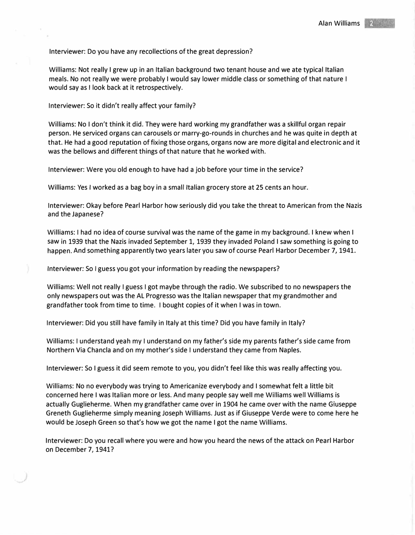## Interviewer: Do you have any recollections of the great depression?

Williams: Not really I grew up in an Italian background two tenant house and we ate typical Italian meals. No not really we were probably I would say lower middle class or something of that nature I would say as I look back at it retrospectively.

Interviewer: So it didn't really affect your family?

Williams: No I don't think it did. They were hard working my grandfather was a skillful organ repair person. He serviced organs can carousels or marry-go-rounds in churches and he was quite in depth at that. He had a good reputation of fixing those organs, organs now are more digital and electronic and it was the bellows and different things of that nature that he worked with.

Interviewer: Were you old enough to have had a job before your time in the service?

Williams: Yes I worked as a bag boy in a small Italian grocery store at 25 cents an hour.

Interviewer: Okay before Pearl Harbor how seriously did you take the threat to American from the Nazis and the Japanese?

Williams: I had no idea of course survival was the name of the game in my background. I knew when I saw in 1939 that the Nazis invaded September 1, 1939 they invaded Poland I saw something is going to happen. And something apparently two years later you saw of course Pearl Harbor December 7, 1941.

Interviewer: So I guess you got your information by reading the newspapers?

Williams: Well not really I guess I got maybe through the radio. We subscribed to no newspapers the only newspapers out was the AL Progresso was the Italian newspaper that my grandmother and grandfather took from time to time. I bought copies of it when I was in town.

Interviewer: Did you still have family in Italy at this time? Did you have family in Italy?

Williams: I understand yeah my I understand on my father's side my parents father's side came from Northern Via Chancla and on my mother's side I understand they came from Naples.

Interviewer: So I guess it did seem remote to you, you didn't feel like this was really affecting you.

Williams: No no everybody was trying to Americanize everybody and I somewhat felt a little bit concerned here I was Italian more or less. And many people say well me Williams well Williams is actually Guglieherme. When my grandfather came over in 1904 he came over with the name Giuseppe Greneth Guglieherme simply meaning Joseph Williams. Just as if Giuseppe Verde were to come here he would be Joseph Green so that's how we got the name I got the name Williams.

Interviewer: Do you recall where you were and how you heard the news of the attack on Pearl Harbor on December 7, 1941?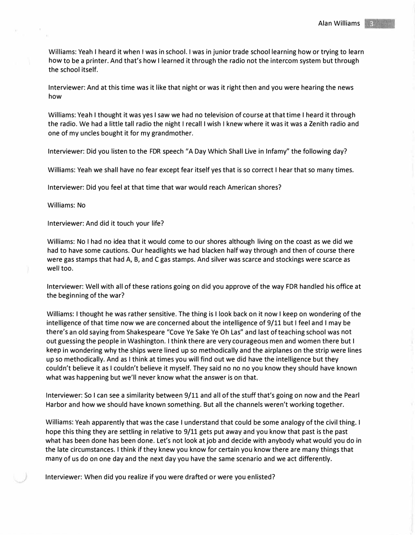Williams: Yeah I heard it when I was in school. I was in junior trade school learning how or trying to learn how to be a printer. And that's how I learned it through the radio not the intercom system but through the school itself.

Interviewer: And at this time was it like that night or was it right then and you were hearing the news how

Williams: Yeah I thought it was yes I saw we had no television of course at that time I heard it through the radio. We had a little tall radio the night I recall I wish I knew where it was it was a Zenith radio and one of my uncles bought it for my grandmother.

Interviewer: Did you listen to the FDR speech "A Day Which Shall Live in Infamy" the following day?

Williams: Yeah we shall have no fear except fear itself yes that is so correct I hear that so many times.

Interviewer: Did you feel at that time that war would reach American shores?

Williams: No

Interviewer: And did it touch your life?

Williams: No I had no idea that it would come to our shores although living on the coast as we did we had to have some cautions. Our headlights we had blacken half way through and then of course there were gas stamps that had A, B, and C gas stamps. And silver was scarce and stockings were scarce as well too.

Interviewer: Well with all of these rations going on did you approve of the way FDR handled his office at the beginning of the war?

Williams: I thought he was rather sensitive. The thing is I look back on it now I keep on wondering of the intelligence of that time now we are concerned about the intelligence of 9/11 but I feel and I may be there's an old saying from Shakespeare "Cove Ye Sake Ye Oh Las" and last of teaching school was not out guessing the people in Washington. I think there are very courageous men and women there but I keep in wondering why the ships were lined up so methodically and the airplanes on the strip were lines up so methodically. And as I think at times you will find out we did have the intelligence but they couldn't believe it as I couldn't believe it myself. They said no no no you know they should have known what was happening but we'll never know what the answer is on that.

Interviewer: So I can see a similarity between 9/11 and all of the stuff that's going on now and the Pearl Harbor and how we should have known something. But all the channels weren't working together.

Williams: Yeah apparently that was the case I understand that could be some analogy of the civil thing. I hope this thing they are settling in relative to 9/11 gets put away and you know that past is the past what has been done has been done. Let's not look at job and decide with anybody what would you do in the late circumstances. I think if they knew you know for certain you know there are many things that many of us do on one day and the next day you have the same scenario and we act differently.

Interviewer: When did you realize if you were drafted or were you enlisted?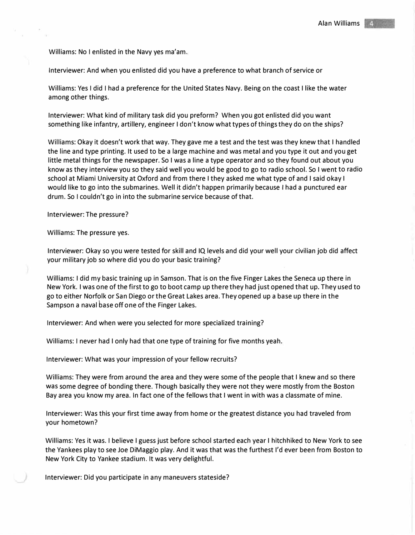Williams: No I enlisted in the Navy yes ma'am.

Interviewer: And when you enlisted did you have a preference to what branch of service or

Williams: Yes I did I had a preference for the United States Navy. Being on the coast I like the water among other things.

Interviewer: What kind of military task did you preform? When you got enlisted did you want something like infantry, artillery, engineer I don't know what types of things they do on the ships?

Williams: Okay it doesn't work that way. They gave me a test and the test was they knew that I handled the line and type printing. It used to be a large machine and was metal and you type it out and you get little metal things for the newspaper. So I was a line a type operator and so they found out about you know as they interview you so they said well you would be good to go to radio school. So I went to radio school at Miami University at Oxford and from there I they asked me what type of and I said okay I would like to go into the submarines. Well it didn't happen primarily because I had a punctured ear drum. So I couldn't go in into the submarine service because of that.

Interviewer: The pressure?

Williams: The pressure yes.

Interviewer: Okay so you were tested for skill and IQ levels and did your well your civilian job did affect your military job so where did you do your basic training?

Williams: I did my basic training up in Samson. That is on the five Finger Lakes the Seneca up there in New York. I was one of the first to go to boot camp up there they had just opened that up. They used to go to either Norfolk or San Diego or the Great Lakes area. They opened up a base up there in the Sampson a naval base off one of the Finger Lakes.

Interviewer: And when were you selected for more specialized training?

Williams: I never had I only had that one type of training for five months yeah.

Interviewer: What was your impression of your fellow recruits?

Williams: They were from around the area and they were some of the people that I knew and so there was some degree of bonding there. Though basically they were not they were mostly from the Boston Bay area you know my area. In fact one of the fellows that I went in with was a classmate of mine.

Interviewer: Was this your first time away from home or the greatest distance you had traveled from your hometown?

Williams: Yes it was. I believe I guess just before school started each year I hitchhiked to New York to see the Yankees play to see Joe DiMaggio play. And it was that was the furthest I'd ever been from Boston to New York City to Yankee stadium. It was very delightful.

Interviewer: Did you participate in any maneuvers stateside?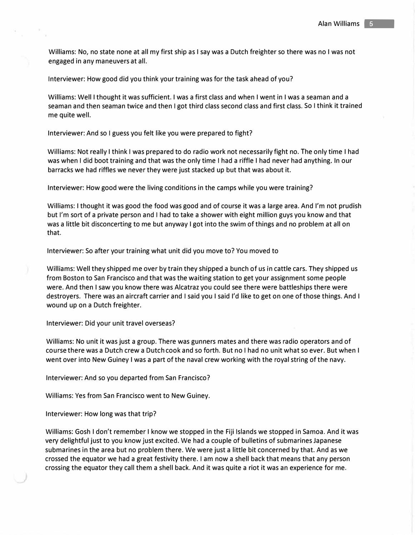Williams: No, no state none at all my first ship as I say was a Dutch freighter so there was no I was not engaged in any maneuvers at all.

Interviewer: How good did you think your training was for the task ahead of you?

Williams: Well I thought it was sufficient. I was a first class and when I went in I was a seaman and a seaman and then seaman twice and then I got third class second class and first class. So I think it trained me quite well.

Interviewer: And so I guess you felt like you were prepared to fight?

Williams: Not really I think I was prepared to do radio work not necessarily fight no. The only time I had was when I did boot training and that was the only time I had a riffle I had never had anything. In our barracks we had riffles we never they were just stacked up but that was about it.

Interviewer: How good were the living conditions in the camps while you were training?

Williams: I thought it was good the food was good and of course it was a large area. And I'm not prudish but I'm sort of a private person and I had to take a shower with eight million guys you know and that was a little bit disconcerting to me but anyway I got into the swim of things and no problem at all on that.

Interviewer: So after your training what unit did you move to? You moved to

Williams: Well they shipped me over by train they shipped a bunch of us in cattle cars. They shipped us from Boston to San Francisco and that was the waiting station to get your assignment some people were. And then I saw you know there was Alcatraz you could see there were battleships there were destroyers. There was an aircraft carrier and I said you I said I'd like to get on one of those things. And I wound up on a Dutch freighter.

Interviewer: Did your unit travel overseas?

Williams: No unit it was just a group. There was gunners mates and there was radio operators and of course there was a Dutch crew a Dutch cook and so forth. But no I had no unit what so ever. But when I went over into New Guiney I was a part of the naval crew working with the royal string of the navy.

Interviewer: And so you departed from San Francisco?

Williams: Yes from San Francisco went to New Guiney.

Interviewer: How long was that trip?

Williams: Gosh I don't remember I know we stopped in the Fiji Islands we stopped in Samoa. And it was very delightful just to you know just excited. We had a couple of bulletins of submarines Japanese submarines in the area but no problem there. We were just a little bit concerned by that. And as we crossed the equator we had a great festivity there. I am now a shell back that means that any person crossing the equator they call them a shell back. And it was quite a riot it was an experience for me.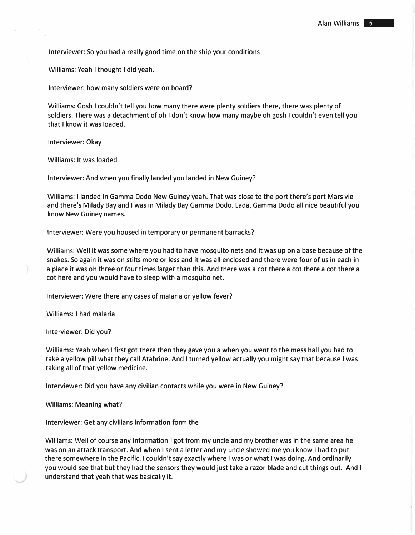Interviewer: So you had a really good time on the ship your conditions

Williams: Yeah I thought I did yeah.

Interviewer: how many soldiers were on board?

Williams: Gosh I couldn't tell you how many there were plenty soldiers there, there was plenty of soldiers. There was a detachment of oh I don't know how many maybe oh gosh I couldn't even tell you that I know it was loaded.

Interviewer: Okay

Williams: It was loaded

Interviewer: And when you finally landed you landed in New Guiney?

Williams: I landed in Gamma Dodo New Guiney yeah. That was close to the port there's port Mars vie and there's Milady Bay and I was in Milady Bay Gamma Dodo. Lada, Gamma Dodo all nice beautiful you know New Guiney names.

Interviewer: Were you housed in temporary or permanent barracks?

Williams: Well it was some where you had to have mosquito nets and it was up on a base because of the snakes. So again it was on stilts more or less and it was all enclosed and there were four of us in each in a place it was oh three or four times larger than this. And there was a cot there a cot there a cot there a cot here and you would have to sleep with a mosquito net.

Interviewer: Were there any cases of malaria or yellow fever?

Williams: I had malaria.

Interviewer: Did you?

Williams: Yeah when I first got there then they gave you a when you went to the mess hall you had to take a yellow pill what they call Atabrine. And I turned yellow actually you might say that because I was taking all of that yellow medicine.

Interviewer: Did you have any civilian contacts while you were in New Guiney?

Williams: Meaning what?

Interviewer: Get any civilians information form the

Williams: Well of course any information I got from my uncle and my brother was in the same area he was on an attack transport. And when I sent a letter and my uncle showed me you know I had to put there somewhere in the Pacific. I couldn't say exactly where I was or what I was doing. And ordinarily you would see that but they had the sensors they would just take a razor blade and cut things out. And I understand that yeah that was basically it.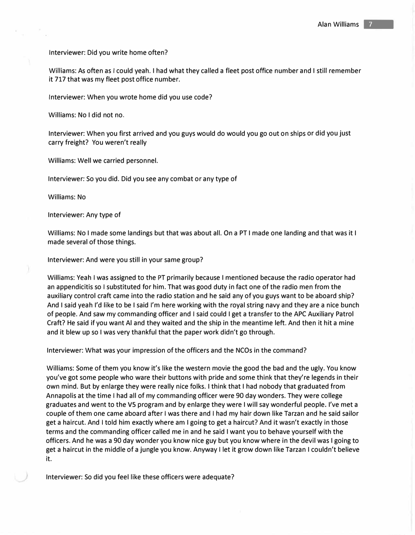Interviewer: Did you write home often?

Williams: As often as I could yeah. I had what they called a fleet post office number and I still remember it 717 that was my fleet post office number.

Interviewer: When you wrote home did you use code?

Williams: No I did not no.

Interviewer: When you first arrived and you guys would do would you go out on ships or did you just carry freight? You weren't really

Williams: Well we carried personnel.

Interviewer: So you did. Did you see any combat or any type of

Williams: No

Interviewer: Any type of

Williams: No I made some landings but that was about all. On a PT I made one landing and that was it I made several of those things.

Interviewer: And were you still in your same group?

Williams: Yeah I was assigned to the PT primarily because I mentioned because the radio operator had an appendicitis so I substituted for him. That was good duty in fact one of the radio men from the auxiliary control craft came into the radio station and he said any of you guys want to be aboard ship? And I said yeah I'd like to be I said I'm here working with the royal string navy and they are a nice bunch of people. And saw my commanding officer and I said could I get a transfer to the APC Auxiliary Patrol Craft? He said if you want Al and they waited and the ship in the meantime left. And then it hit a mine and it blew up so I was very thankful that the paper work didn't go through.

Interviewer: What was your impression of the officers and the NCOs in the command?

Williams: Some of them you know it's like the western movie the good the bad and the ugly. You know you've got some people who ware their buttons with pride and some think that they're legends in their own mind. But by enlarge they were really nice folks. I think that I had nobody that graduated from Annapolis at the time I had all of my commanding officer were 90 day wonders. They were college graduates and went to the VS program and by enlarge they were I will say wonderful people. I've met a couple of them one came aboard after I was there and I had my hair down like Tarzan and he said sailor get a haircut. And I told him exactly where am I going to get a haircut? And it wasn't exactly in those terms and the commanding officer called me in and he said I want you to behave yourself with the officers. And he was a 90 day wonder you know nice guy but you know where in the devil was I going to get a haircut in the middle of a jungle you know. Anyway I let it grow down like Tarzan I couldn't believe it.

Interviewer: So did you feel like these officers were adequate?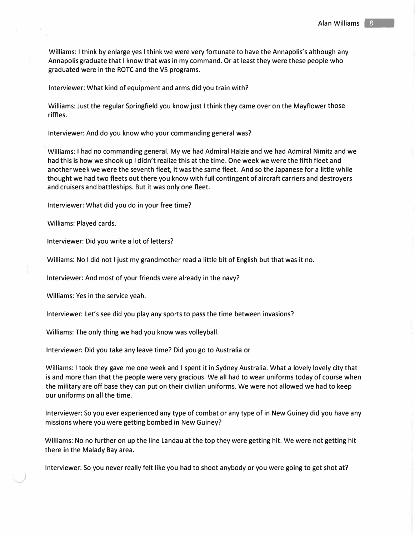Williams: I think by enlarge yes I think we were very fortunate to have the Annapolis's although any Annapolis graduate that I know that was in my command. Or at least they were these people who graduated were in the ROTC and the VS programs.

Interviewer: What kind of equipment and arms did you train with?

Williams: Just the regular Springfield you know just I think they came over on the Mayflower those<br>"iffles riffles.

Interviewer: And do you know who your commanding general was?

Williams: I had no commanding general. My we had Admiral Halzie and we had Admiral Nimitz and we had this is how we shook up I didn't realize this at the time. One week we were the fifth fleet and another week we were the seventh fleet, it was the same fleet. And so the Japanese for a little while thought we had two fleets out there you know with full contingent of aircraft carriers and destroyers and cruisers and battleships. But it was only one fleet.

Interviewer: What did you do in your free time?

Williams: Played cards.

Interviewer: Did you write a lot of letters?

Williams: No I did not I just my grandmother read a little bit of English but that was it no.

Interviewer: And most of your friends were already in the navy?

Williams: Yes in the service yeah.

Interviewer: Let's see did you play any sports to pass the time between invasions?

Williams: The only thing we had you know was volleyball.

Interviewer: Did you take any leave time? Did you go to Australia or

Williams: I took they gave me one week and I spent it in Sydney Australia. What a lovely lovely city that is and more than that the people were very gracious. We all had to wear uniforms today of course when the military are off base they can put on their civilian uniforms. We were not allowed we had to keep our uniforms on all the time.

Interviewer: So you ever experienced any type of combat or any type of in New Guiney did you have any missions where you were getting bombed in New Guiney?

Williams: No no further on up the line Landau at the top they were getting hit. We were not getting hit there in the Malady Bay area.

Interviewer: So you never really felt like you had to shoot anybody or you were going to get shot at?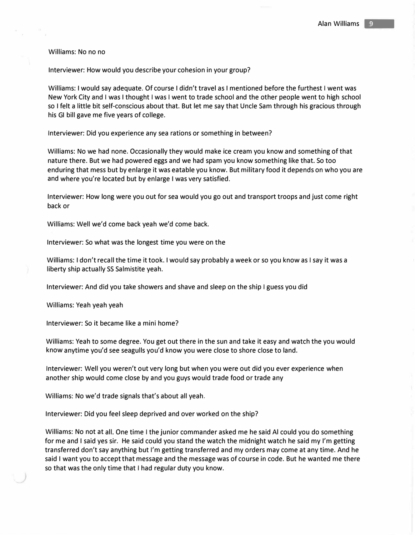Williams: No no no

Interviewer: How would you describe your cohesion in your group?

Williams: I would say adequate. Of course I didn't travel as I mentioned before the furthest I went was New York City and I was I thought I was I went to trade school and the other people went to high school so I felt a little bit self-conscious about that. But let me say that Uncle Sam through his gracious through his GI bill gave me five years of college.

Interviewer: Did you experience any sea rations or something in between?

Williams: No we had none. Occasionally they would make ice cream you know and something of that nature there. But we had powered eggs and we had spam you know something like that. So too enduring that mess but by enlarge it was eatable you know. But military food it depends on who you are and where you're located but by enlarge I was very satisfied.

Interviewer: How long were you out for sea would you go out and transport troops and just come right back or

Williams: Well we'd come back yeah we'd come back.

Interviewer: So what was the longest time you were on the

Williams: I don't recall the time it took. I would say probably a week or so you know as I say it was a liberty ship actually SS Salmistite yeah.

Interviewer: And did you take showers and shave and sleep on the ship I guess you did

Williams: Yeah yeah yeah

Interviewer: So it became like a mini home?

Williams: Yeah to some degree. You get out there in the sun and take it easy and watch the you would know anytime you'd see seagulls you'd know you were close to shore close to land.

Interviewer: Well you weren't out very long but when you were out did you ever experience when another ship would come close by and you guys would trade food or trade any

Williams: No we'd trade signals that's about all yeah.

Interviewer: Did you feel sleep deprived and over worked on the ship?

Williams: No not at all. One time I the junior commander asked me he said AI could you do something for me and I said yes sir. He said could you stand the watch the midnight watch he said my I'm getting transferred don't say anything but I'm getting transferred and my orders may come at any time. And he said I want you to accept that message and the message was of course in code. But he wanted me there so that was the only time that I had regular duty you know.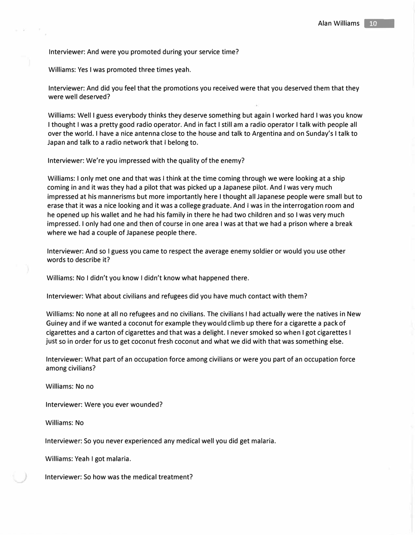Interviewer: And were you promoted during your service time?

Williams: Yes I was promoted three times yeah.

Interviewer: And did you feel that the promotions you received were that you deserved them that they were well deserved?

Williams: Well I guess everybody thinks they deserve something but again I worked hard I was you know I thought I was a pretty good radio operator. And in fact I still am a radio operator I talk with people all over the world. I have a nice antenna close to the house and talk to Argentina and on Sunday's I talk to Japan and talk to a radio network that I belong to.

Interviewer: We're you impressed with the quality of the enemy?

Williams: I only met one and that was I think at the time coming through we were looking at a ship coming in and it was they had a pilot that was picked up a Japanese pilot. And I was very much impressed at his mannerisms but more importantly here I thought all Japanese people were small but to erase that it was a nice looking and it was a college graduate. And I was in the interrogation room and he opened up his wallet and he had his family in there he had two children and so I was very much impressed. I only had one and then of course in one area I was at that we had a prison where a break where we had a couple of Japanese people there.

Interviewer: And so I guess you came to respect the average enemy soldier or would you use other words to describe it?

Williams: No I didn't you know I didn't know what happened there.

Interviewer: What about civilians and refugees did you have much contact with them?

Williams: No none at all no refugees and no civilians. The civilians I had actually were the natives in New Guiney and if we wanted a coconut for example they would climb up there for a cigarette a pack of cigarettes and a carton of cigarettes and that was a delight. I never smoked so when I got cigarettes I just so in order for us to get coconut fresh coconut and what we did with that was something else.

Interviewer: What part of an occupation force among civilians or were you part of an occupation force among civilians?

Williams: No no

Interviewer: Were you ever wounded?

Williams: No

Interviewer: So you never experienced any medical well you did get malaria.

Williams: Yeah I got malaria.

Interviewer: So how was the medical treatment?